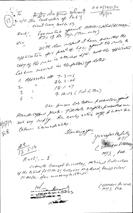$04M/19171/14$ le traite du crédit crédit du 1974  $15914$ frometin against HAMDICAPPEd (BLIND) civil cins sille 57. With due usport I have submitted the cory of the river is a tricket L/w. and the offlication Cas sure received in the following dates.  $1.$  Application off. 7-3-05  $24.4 - 06$  $18.407$  $2$   $\rightarrow$ 9.12.13 (Feel-Letter)  $3<sup>3</sup>$ Ou pusou les talent promotors grant  $\zeta$ Handelopper quote. Fill date negette probatted un not any reply. An early action was pharmese 5574 tother camediates. Frik. Hanking you  $\frac{2t}{15514}$ (SAMADO PALSINA)  $MTS$   $P40$ .  $\mathcal{E}$ nel'--1 Correcto General Seceratory, satisfield Federation of the Blind flot No. 21 Sector Ul M. B. Road Plenty Ular Modela for recessing actions. (SAMROC Por SLId)<br>(NTT 5 P+0) 10/ - 1 de 10 10 25843  $\chi$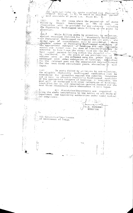per Surfactod under the quota reserved for p<br>framed belongs to SC, he would be adjusted<br>next available SC point i.e. Point No. 8. Physicall against<br>Against

 $\sim$   $\sim$ 

(ii). In the cases where the percentage of posts<br>filled by Direct Recruitment is 75% of more, no<br>r?servation will be provided for any category 'nothaling<br>the Physically Handicapped while filling up the posts by

(ail) While filling posts by promotion, by selection, against vacancies reserved for the Physically Handicapped, against vacancies reserved for " Physically Handicapped,<br>
the Physically Handicapped candidates who are with a the<br>
normal zone of consideratio, will be considered. Where<br>
see ageometric of Physically Handicapped candidate ! lapse.

(iv). In posts filled by premotion by non-selection,<br>the eligible Physically Handicapped candidates can be the enigment rhysically handcapped candidates scan be<br>considered for promotion against the reserved vacancies<br>and in case no eligible. Physically Handicapped candidate<br>of the appropriate category of handicap, in available, next three recruitment years whereafter it will lapse.

 $2.$ All Ministries/Departments are thing the above instructions to the notice of all Heads of policies with and appointing authorities under their control galor compliance.

> $\langle \hat{m}_\mathrm{C} \rangle$ سده سر ۱۶ من (Y.G. PAFANDE) DIRECTOR

28 All Ministries/Dapartments of Government of India.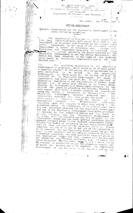## No. 36035/7798-585. (SCT)<br>Covernment of findia<br>Misistry of Personnel, inhite Grievancos

and Pensiens Department of Personard and Training

 $\mathbb{R}^2$  . The set of the set of  $\mathbb{R}^2$ 

## the  $18\frac{\text{Ar}}{\text{Feb}}$ . New Delhi.

 $497$ 

## OFFICE MEMORANDUM

subject: Reservation for the physically handinapped in the posts filled by promotion. \*\*\*\*\*

undersigned is directed to invite attent !!<br>35035/8/89-Estt (SCT) dated 20.11.1989 of The 'n to  $\hbox{\tt O}$  .  $\hbox{\tt M}$  .  $N \circ \cdot$ Department of Personnel and Training on the subject noted Department to the issue of the aforesaid matter above. Subsequent to the issue of the aforesaid matter Memorandum) a number of references were received from Ministries and Department regarding difficulties being<br>Ministries physically handicapped as per the Office Memorandum. The matter has been examined in the light of the problems being faced by Ministries/ Departments and it has lieen decided that:

 $(i)$ providing reservation to そうに handicapped in promotion, which would be 3% of such posts, the physically handicapped in promotion, which would be sol such grove,<br>a separate register of 100 points will be maintained for a<br>post identified to be manned by the physically<br>handicapped, in which point No. 33, 67 and 100 will be<br>rese Departments may start the point No. Departments may start the point No. 33 with any kind of<br>disability depending on the availability of feeder grade<br>difficer i.e. if senior most officer in the feeder grade<br>belongs to Orthopaedically Handicapped category he m appropriate category viz SC/ST/General candidates depending upon the category to which they belong is the promotion roster. To illustrate, if in a given year there are two vacancies reserved for the Physically Randicapped and out of two Physically Handicapped candidates promoted. ang out of two Physically nanufuapped Candidates progress, or belongs to the Scheduled Castes and the other to<br>get bral catagory then the Physically Handicapped SC<br>extractes will be adjusted against the SC point it the top ed lidate will be adjusted against the SC point ideals to revervation coster and the other general candidate against the SC point ideals the school in the relevant reservation roster. Seperation.com/ point in the rerevant reservation ruster.<br>In case the number of vacancies against which promotion.<br>and is less and none of the vacancies falls on points<br>reserved for the SC or the ST but one of the vacancie reserved for the solid car but one of the catendary is<br>to be reserved for the Physically Handicapped (as per the<br>point in the register) and the officer promoted belongs to a reserved community, the next available reserved point in the reservation ruster for that ategory will be at lised fig. researching the preserved candidate, e.g. if there are three vacancies falling under Reight 5, 6 & 7 which are to Be treated as unreserved as per the promotion roster, out of which one vacancy has to be reserved for: Physically Banclespred as pay the peans in the requester and is  $-1.1$